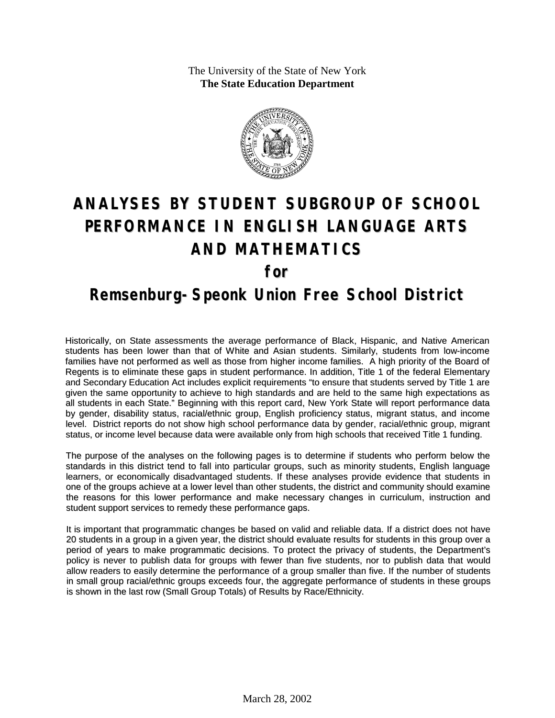The University of the State of New York **The State Education Department**



## **ANALYSES BY STUDENT SUBGROUP OF SCHOOL PERFORMANCE IN ENGLISH LANGUAGE ARTS AND MATHEMATICS for**

## **Remsenburg-Speonk Union Free School District**

Historically, on State assessments the average performance of Black, Hispanic, and Native American students has been lower than that of White and Asian students. Similarly, students from low-income families have not performed as well as those from higher income families. A high priority of the Board of Regents is to eliminate these gaps in student performance. In addition, Title 1 of the federal Elementary and Secondary Education Act includes explicit requirements "to ensure that students served by Title 1 are given the same opportunity to achieve to high standards and are held to the same high expectations as all students in each State." Beginning with this report card, New York State will report performance data by gender, disability status, racial/ethnic group, English proficiency status, migrant status, and income level. District reports do not show high school performance data by gender, racial/ethnic group, migrant status, or income level because data were available only from high schools that received Title 1 funding.

The purpose of the analyses on the following pages is to determine if students who perform below the standards in this district tend to fall into particular groups, such as minority students, English language learners, or economically disadvantaged students. If these analyses provide evidence that students in one of the groups achieve at a lower level than other students, the district and community should examine the reasons for this lower performance and make necessary changes in curriculum, instruction and student support services to remedy these performance gaps.

It is important that programmatic changes be based on valid and reliable data. If a district does not have 20 students in a group in a given year, the district should evaluate results for students in this group over a period of years to make programmatic decisions. To protect the privacy of students, the Department's policy is never to publish data for groups with fewer than five students, nor to publish data that would allow readers to easily determine the performance of a group smaller than five. If the number of students in small group racial/ethnic groups exceeds four, the aggregate performance of students in these groups is shown in the last row (Small Group Totals) of Results by Race/Ethnicity.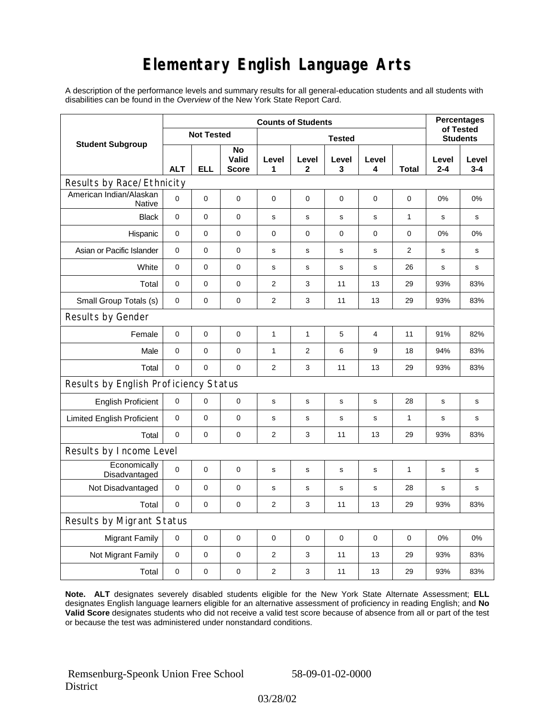## **Elementary English Language Arts**

A description of the performance levels and summary results for all general-education students and all students with disabilities can be found in the *Overview* of the New York State Report Card.

| <b>Student Subgroup</b>                  | <b>Counts of Students</b> |            |                             |                |              |             |             |              | <b>Percentages</b>           |                  |
|------------------------------------------|---------------------------|------------|-----------------------------|----------------|--------------|-------------|-------------|--------------|------------------------------|------------------|
|                                          | <b>Not Tested</b>         |            |                             | <b>Tested</b>  |              |             |             |              | of Tested<br><b>Students</b> |                  |
|                                          | <b>ALT</b>                | <b>ELL</b> | No<br>Valid<br><b>Score</b> | Level<br>1     | Level<br>2   | Level<br>3  | Level<br>4  | Total        | Level<br>$2 - 4$             | Level<br>$3 - 4$ |
| Results by Race/Ethnicity                |                           |            |                             |                |              |             |             |              |                              |                  |
| American Indian/Alaskan<br><b>Native</b> | $\mathbf 0$               | 0          | $\pmb{0}$                   | $\pmb{0}$      | 0            | 0           | 0           | 0            | 0%                           | 0%               |
| <b>Black</b>                             | $\pmb{0}$                 | 0          | $\pmb{0}$                   | s              | $\mathbf s$  | $\mathbf s$ | $\mathbf s$ | $\mathbf{1}$ | s                            | s                |
| Hispanic                                 | 0                         | 0          | $\pmb{0}$                   | $\pmb{0}$      | 0            | $\pmb{0}$   | 0           | 0            | 0%                           | 0%               |
| Asian or Pacific Islander                | $\mathbf 0$               | 0          | $\mathbf 0$                 | s              | s            | s           | s           | 2            | s                            | s                |
| White                                    | $\mathbf 0$               | 0          | $\mathbf 0$                 | s              | $\mathbf s$  | ${\bf s}$   | $\mathbf s$ | 26           | $\mathbf s$                  | s                |
| Total                                    | $\mathbf 0$               | 0          | $\pmb{0}$                   | 2              | 3            | 11          | 13          | 29           | 93%                          | 83%              |
| Small Group Totals (s)                   | 0                         | 0          | 0                           | 2              | 3            | 11          | 13          | 29           | 93%                          | 83%              |
| Results by Gender                        |                           |            |                             |                |              |             |             |              |                              |                  |
| Female                                   | $\mathbf 0$               | 0          | $\pmb{0}$                   | 1              | $\mathbf{1}$ | 5           | 4           | 11           | 91%                          | 82%              |
| Male                                     | $\mathbf 0$               | 0          | 0                           | 1              | 2            | 6           | 9           | 18           | 94%                          | 83%              |
| Total                                    | $\mathbf 0$               | 0          | $\mathbf 0$                 | 2              | 3            | 11          | 13          | 29           | 93%                          | 83%              |
| Results by English Proficiency Status    |                           |            |                             |                |              |             |             |              |                              |                  |
| <b>English Proficient</b>                | 0                         | 0          | $\pmb{0}$                   | $\mathbf S$    | $\mathbf S$  | $\mathbf S$ | s           | 28           | $\mathbf S$                  | $\mathbf s$      |
| <b>Limited English Proficient</b>        | $\mathbf 0$               | 0          | $\pmb{0}$                   | $\mathbf S$    | $\mathsf{s}$ | s           | s           | $\mathbf{1}$ | $\mathbf s$                  | s                |
| Total                                    | $\mathbf 0$               | 0          | $\mathbf 0$                 | 2              | 3            | 11          | 13          | 29           | 93%                          | 83%              |
| Results by Income Level                  |                           |            |                             |                |              |             |             |              |                              |                  |
| Economically<br>Disadvantaged            | $\mathbf 0$               | 0          | $\pmb{0}$                   | s              | $\mathbf S$  | s           | s           | $\mathbf 1$  | s                            | s                |
| Not Disadvantaged                        | $\mathbf 0$               | 0          | $\mathbf 0$                 | s              | $\mathbf s$  | s           | s           | 28           | $\mathbf s$                  | s                |
| Total                                    | $\mathbf 0$               | 0          | $\pmb{0}$                   | 2              | 3            | 11          | 13          | 29           | 93%                          | 83%              |
| Results by Migrant Status                |                           |            |                             |                |              |             |             |              |                              |                  |
| <b>Migrant Family</b>                    | 0                         | 0          | $\pmb{0}$                   | $\pmb{0}$      | 0            | $\mathbf 0$ | 0           | 0            | 0%                           | 0%               |
| Not Migrant Family                       | $\pmb{0}$                 | 0          | $\pmb{0}$                   | $\overline{c}$ | 3            | 11          | 13          | 29           | 93%                          | 83%              |
| Total                                    | 0                         | 0          | $\pmb{0}$                   | $\overline{2}$ | 3            | 11          | 13          | 29           | 93%                          | 83%              |

**Note. ALT** designates severely disabled students eligible for the New York State Alternate Assessment; **ELL** designates English language learners eligible for an alternative assessment of proficiency in reading English; and **No Valid Score** designates students who did not receive a valid test score because of absence from all or part of the test or because the test was administered under nonstandard conditions.

 Remsenburg-Speonk Union Free School **District** 

58-09-01-02-0000

03/28/02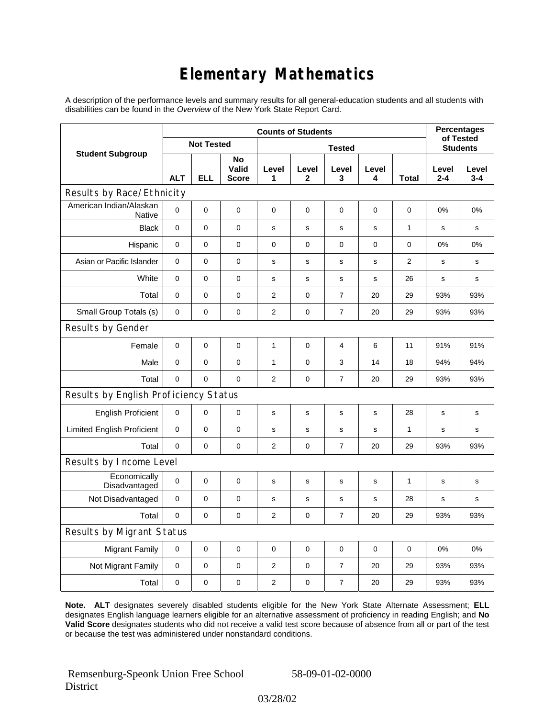## **Elementary Mathematics**

A description of the performance levels and summary results for all general-education students and all students with disabilities can be found in the *Overview* of the New York State Report Card.

| <b>Student Subgroup</b>                  | <b>Counts of Students</b> |             |                             |                |                       |                |             |              | <b>Percentages</b><br>of Tested |                  |  |
|------------------------------------------|---------------------------|-------------|-----------------------------|----------------|-----------------------|----------------|-------------|--------------|---------------------------------|------------------|--|
|                                          | <b>Not Tested</b>         |             |                             | <b>Tested</b>  |                       |                |             |              | <b>Students</b>                 |                  |  |
|                                          | <b>ALT</b>                | <b>ELL</b>  | No<br>Valid<br><b>Score</b> | Level<br>1     | Level<br>$\mathbf{2}$ | Level<br>3     | Level<br>4  | Total        | Level<br>$2 - 4$                | Level<br>$3 - 4$ |  |
| Results by Race/Ethnicity                |                           |             |                             |                |                       |                |             |              |                                 |                  |  |
| American Indian/Alaskan<br><b>Native</b> | 0                         | $\mathbf 0$ | $\mathbf 0$                 | $\mathbf 0$    | 0                     | 0              | 0           | 0            | 0%                              | 0%               |  |
| <b>Black</b>                             | 0                         | $\mathsf 0$ | $\pmb{0}$                   | $\mathbf s$    | $\mathbf s$           | s              | $\mathbf s$ | $\mathbf{1}$ | s                               | s                |  |
| Hispanic                                 | 0                         | 0           | $\mathbf 0$                 | $\mathbf 0$    | $\mathbf 0$           | 0              | 0           | 0            | 0%                              | 0%               |  |
| Asian or Pacific Islander                | $\mathbf 0$               | 0           | $\mathbf 0$                 | s              | s                     | s              | s           | 2            | s                               | s                |  |
| White                                    | 0                         | 0           | 0                           | $\mathbf s$    | s                     | s              | s           | 26           | s                               | s                |  |
| Total                                    | $\mathbf 0$               | 0           | $\mathbf 0$                 | $\overline{2}$ | 0                     | 7              | 20          | 29           | 93%                             | 93%              |  |
| Small Group Totals (s)                   | $\mathbf 0$               | 0           | $\mathbf 0$                 | $\mathbf{2}$   | $\mathbf 0$           | $\overline{7}$ | 20          | 29           | 93%                             | 93%              |  |
| Results by Gender                        |                           |             |                             |                |                       |                |             |              |                                 |                  |  |
| Female                                   | 0                         | $\mathsf 0$ | $\pmb{0}$                   | 1              | $\mathbf 0$           | 4              | 6           | 11           | 91%                             | 91%              |  |
| Male                                     | $\mathbf 0$               | 0           | $\mathbf 0$                 | 1              | $\mathbf 0$           | 3              | 14          | 18           | 94%                             | 94%              |  |
| Total                                    | 0                         | 0           | $\mathbf 0$                 | $\overline{2}$ | $\mathbf 0$           | $\overline{7}$ | 20          | 29           | 93%                             | 93%              |  |
| Results by English Proficiency Status    |                           |             |                             |                |                       |                |             |              |                                 |                  |  |
| <b>English Proficient</b>                | 0                         | 0           | $\mathbf 0$                 | s              | $\mathbf s$           | s              | s           | 28           | s                               | $\mathbf s$      |  |
| <b>Limited English Proficient</b>        | 0                         | 0           | $\mathbf 0$                 | s              | $\mathsf{s}$          | s              | s           | 1            | s                               | s                |  |
| Total                                    | $\mathbf 0$               | 0           | $\mathbf 0$                 | $\overline{2}$ | $\mathbf 0$           | $\overline{7}$ | 20          | 29           | 93%                             | 93%              |  |
| Results by Income Level                  |                           |             |                             |                |                       |                |             |              |                                 |                  |  |
| Economically<br>Disadvantaged            | $\mathbf 0$               | $\mathsf 0$ | $\mathbf 0$                 | $\mathbf s$    | S                     | $\mathbf s$    | s           | 1            | $\mathbf s$                     | s                |  |
| Not Disadvantaged                        | $\mathbf 0$               | 0           | $\mathbf 0$                 | s              | s                     | s              | s           | 28           | s                               | s                |  |
| Total                                    | $\mathbf 0$               | $\mathbf 0$ | $\pmb{0}$                   | $\overline{2}$ | 0                     | $\overline{7}$ | 20          | 29           | 93%                             | 93%              |  |
| Results by Migrant Status                |                           |             |                             |                |                       |                |             |              |                                 |                  |  |
| <b>Migrant Family</b>                    | $\mathbf 0$               | 0           | $\pmb{0}$                   | $\pmb{0}$      | $\mathbf 0$           | 0              | 0           | $\mathbf 0$  | 0%                              | 0%               |  |
| Not Migrant Family                       | 0                         | 0           | $\pmb{0}$                   | $\overline{c}$ | 0                     | 7              | 20          | 29           | 93%                             | 93%              |  |
| Total                                    | 0                         | 0           | 0                           | 2              | 0                     | $\overline{7}$ | 20          | 29           | 93%                             | 93%              |  |

**Note. ALT** designates severely disabled students eligible for the New York State Alternate Assessment; **ELL** designates English language learners eligible for an alternative assessment of proficiency in reading English; and **No Valid Score** designates students who did not receive a valid test score because of absence from all or part of the test or because the test was administered under nonstandard conditions.

 Remsenburg-Speonk Union Free School **District** 

58-09-01-02-0000